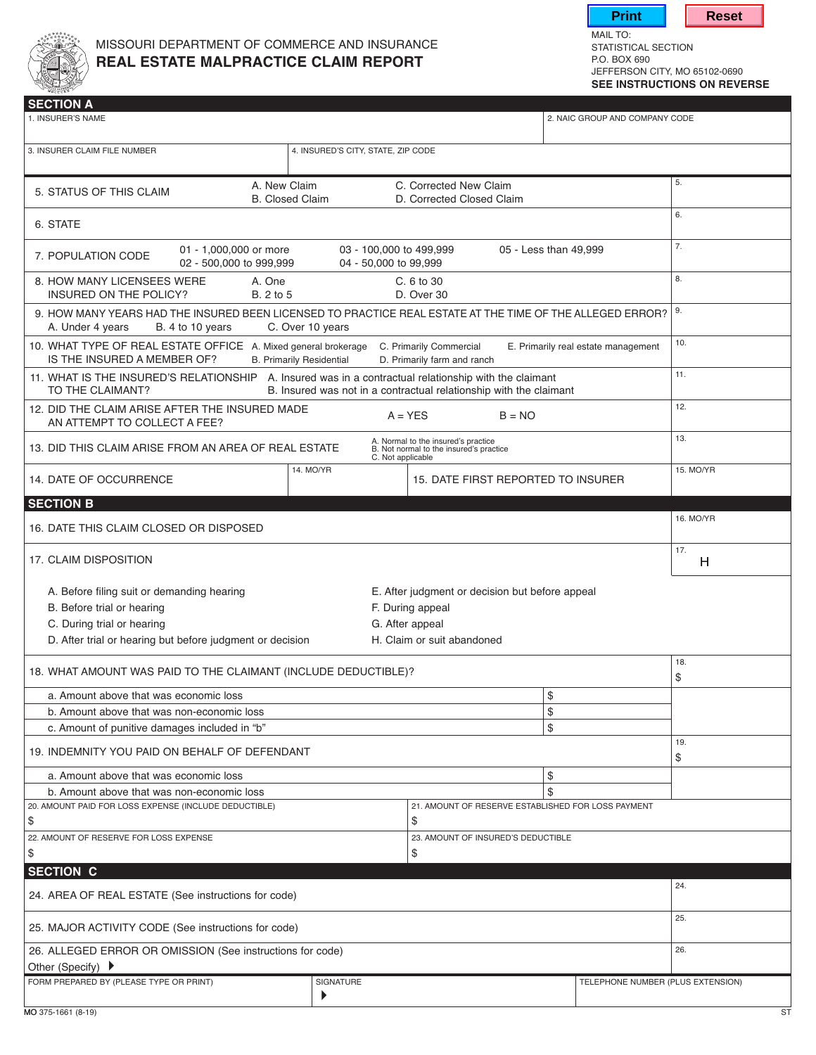

## MISSOURI DEPARTMENT OF COMMERCE AND INSURANCE<br> **REAL ESTATE MALPRACTICE CLAIM REPORT** P.O. BOX 690 **REAL ESTATE MALPRACTICE CLAIM REPORT**



MAIL TO:<br>STATISTICAL SECTION JEFFERSON CITY, MO 65102-0690 **see instructions on reverse**

| <b>SECTION A</b><br>1. INSURER'S NAME                                                                                                                                                                                             |           |                                                                                                                      | 2. NAIC GROUP AND COMPANY CODE    |           |
|-----------------------------------------------------------------------------------------------------------------------------------------------------------------------------------------------------------------------------------|-----------|----------------------------------------------------------------------------------------------------------------------|-----------------------------------|-----------|
| 3. INSURER CLAIM FILE NUMBER<br>4. INSURED'S CITY, STATE, ZIP CODE                                                                                                                                                                |           |                                                                                                                      |                                   |           |
| A. New Claim<br>C. Corrected New Claim<br>5. STATUS OF THIS CLAIM<br><b>B.</b> Closed Claim<br>D. Corrected Closed Claim                                                                                                          |           |                                                                                                                      |                                   | 5.        |
| 6. STATE                                                                                                                                                                                                                          |           |                                                                                                                      |                                   | 6.        |
| 01 - 1,000,000 or more<br>03 - 100,000 to 499,999<br>05 - Less than 49,999<br>7. POPULATION CODE<br>02 - 500,000 to 999,999<br>04 - 50,000 to 99,999                                                                              |           |                                                                                                                      |                                   | 7.        |
| 8. HOW MANY LICENSEES WERE<br>A. One<br>C. 6 to 30<br>INSURED ON THE POLICY?<br>B. 2 to 5<br>D. Over 30                                                                                                                           |           |                                                                                                                      |                                   | 8.        |
| 9. HOW MANY YEARS HAD THE INSURED BEEN LICENSED TO PRACTICE REAL ESTATE AT THE TIME OF THE ALLEGED ERROR?<br>C. Over 10 years<br>A. Under 4 years<br>B. 4 to 10 years                                                             |           |                                                                                                                      |                                   | 9.        |
| 10. WHAT TYPE OF REAL ESTATE OFFICE A. Mixed general brokerage<br>C. Primarily Commercial<br>E. Primarily real estate management<br>IS THE INSURED A MEMBER OF?<br><b>B. Primarily Residential</b><br>D. Primarily farm and ranch |           |                                                                                                                      |                                   | 10.       |
| 11. WHAT IS THE INSURED'S RELATIONSHIP A. Insured was in a contractual relationship with the claimant<br>TO THE CLAIMANT?<br>B. Insured was not in a contractual relationship with the claimant                                   |           |                                                                                                                      |                                   | 11.       |
| 12. DID THE CLAIM ARISE AFTER THE INSURED MADE<br>$A = YES$<br>$B = NO$<br>AN ATTEMPT TO COLLECT A FEE?                                                                                                                           |           |                                                                                                                      |                                   | 12.       |
| A. Normal to the insured's practice<br>B. Not normal to the insured's practice<br>13. DID THIS CLAIM ARISE FROM AN AREA OF REAL ESTATE<br>C. Not applicable                                                                       |           |                                                                                                                      |                                   | 13.       |
| 14. DATE OF OCCURRENCE                                                                                                                                                                                                            | 14. MO/YR | 15. DATE FIRST REPORTED TO INSURER                                                                                   |                                   | 15. MO/YR |
| <b>SECTION B</b>                                                                                                                                                                                                                  |           |                                                                                                                      |                                   |           |
| 16. DATE THIS CLAIM CLOSED OR DISPOSED                                                                                                                                                                                            |           |                                                                                                                      |                                   | 16. MO/YR |
| 17. CLAIM DISPOSITION                                                                                                                                                                                                             |           |                                                                                                                      |                                   | 17.<br>H  |
| A. Before filing suit or demanding hearing<br>B. Before trial or hearing<br>C. During trial or hearing<br>D. After trial or hearing but before judgment or decision                                                               |           | E. After judgment or decision but before appeal<br>F. During appeal<br>G. After appeal<br>H. Claim or suit abandoned |                                   |           |
| 18. WHAT AMOUNT WAS PAID TO THE CLAIMANT (INCLUDE DEDUCTIBLE)?                                                                                                                                                                    |           |                                                                                                                      |                                   | 18.<br>\$ |
| \$<br>a. Amount above that was economic loss                                                                                                                                                                                      |           |                                                                                                                      |                                   |           |
| \$<br>b. Amount above that was non-economic loss                                                                                                                                                                                  |           |                                                                                                                      |                                   |           |
| c. Amount of punitive damages included in "b"                                                                                                                                                                                     |           |                                                                                                                      | \$                                |           |
| 19. INDEMNITY YOU PAID ON BEHALF OF DEFENDANT                                                                                                                                                                                     |           |                                                                                                                      |                                   | 19.<br>\$ |
| \$<br>a. Amount above that was economic loss                                                                                                                                                                                      |           |                                                                                                                      |                                   |           |
| \$<br>b. Amount above that was non-economic loss<br>20. AMOUNT PAID FOR LOSS EXPENSE (INCLUDE DEDUCTIBLE)<br>21. AMOUNT OF RESERVE ESTABLISHED FOR LOSS PAYMENT                                                                   |           |                                                                                                                      |                                   |           |
| \$<br>\$                                                                                                                                                                                                                          |           |                                                                                                                      |                                   |           |
| 22. AMOUNT OF RESERVE FOR LOSS EXPENSE<br>23. AMOUNT OF INSURED'S DEDUCTIBLE<br>\$<br>\$                                                                                                                                          |           |                                                                                                                      |                                   |           |
| <b>SECTION C</b>                                                                                                                                                                                                                  |           |                                                                                                                      |                                   |           |
| 24. AREA OF REAL ESTATE (See instructions for code)                                                                                                                                                                               |           |                                                                                                                      |                                   | 24.       |
| 25. MAJOR ACTIVITY CODE (See instructions for code)                                                                                                                                                                               |           |                                                                                                                      |                                   | 25.       |
| 26. ALLEGED ERROR OR OMISSION (See instructions for code)<br>Other (Specify) ▶                                                                                                                                                    |           |                                                                                                                      |                                   | 26.       |
| FORM PREPARED BY (PLEASE TYPE OR PRINT)                                                                                                                                                                                           | SIGNATURE |                                                                                                                      | TELEPHONE NUMBER (PLUS EXTENSION) |           |